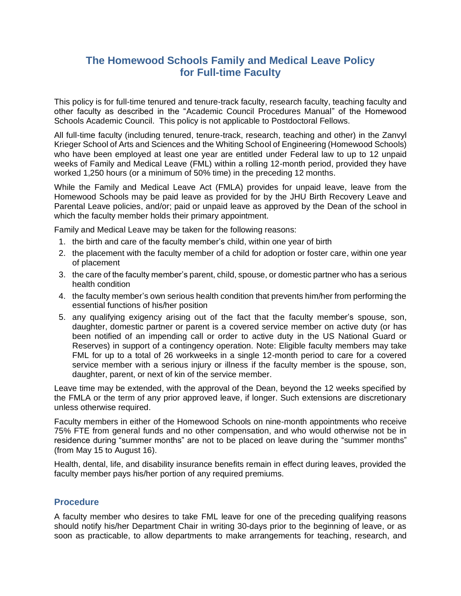# **The Homewood Schools Family and Medical Leave Policy for Full-time Faculty**

This policy is for full-time tenured and tenure-track faculty, research faculty, teaching faculty and other faculty as described in the "Academic Council Procedures Manual" of the Homewood Schools Academic Council. This policy is not applicable to Postdoctoral Fellows.

All full-time faculty (including tenured, tenure-track, research, teaching and other) in the Zanvyl Krieger School of Arts and Sciences and the Whiting School of Engineering (Homewood Schools) who have been employed at least one year are entitled under Federal law to up to 12 unpaid weeks of Family and Medical Leave (FML) within a rolling 12-month period, provided they have worked 1,250 hours (or a minimum of 50% time) in the preceding 12 months.

While the Family and Medical Leave Act (FMLA) provides for unpaid leave, leave from the Homewood Schools may be paid leave as provided for by the JHU Birth Recovery Leave and Parental Leave policies, and/or; paid or unpaid leave as approved by the Dean of the school in which the faculty member holds their primary appointment.

Family and Medical Leave may be taken for the following reasons:

- 1. the birth and care of the faculty member's child, within one year of birth
- 2. the placement with the faculty member of a child for adoption or foster care, within one year of placement
- 3. the care of the faculty member's parent, child, spouse, or domestic partner who has a serious health condition
- 4. the faculty member's own serious health condition that prevents him/her from performing the essential functions of his/her position
- 5. any qualifying exigency arising out of the fact that the faculty member's spouse, son, daughter, domestic partner or parent is a covered service member on active duty (or has been notified of an impending call or order to active duty in the US National Guard or Reserves) in support of a contingency operation. Note: Eligible faculty members may take FML for up to a total of 26 workweeks in a single 12-month period to care for a covered service member with a serious injury or illness if the faculty member is the spouse, son, daughter, parent, or next of kin of the service member.

Leave time may be extended, with the approval of the Dean, beyond the 12 weeks specified by the FMLA or the term of any prior approved leave, if longer. Such extensions are discretionary unless otherwise required.

Faculty members in either of the Homewood Schools on nine-month appointments who receive 75% FTE from general funds and no other compensation, and who would otherwise not be in residence during "summer months" are not to be placed on leave during the "summer months" (from May 15 to August 16).

Health, dental, life, and disability insurance benefits remain in effect during leaves, provided the faculty member pays his/her portion of any required premiums.

#### **Procedure**

A faculty member who desires to take FML leave for one of the preceding qualifying reasons should notify his/her Department Chair in writing 30-days prior to the beginning of leave, or as soon as practicable, to allow departments to make arrangements for teaching, research, and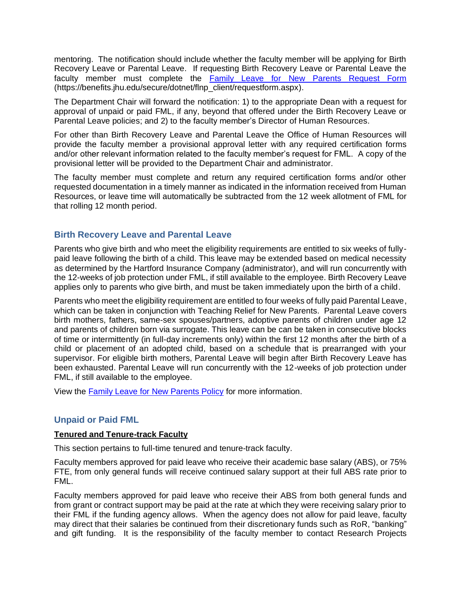mentoring. The notification should include whether the faculty member will be applying for Birth Recovery Leave or Parental Leave. If requesting Birth Recovery Leave or Parental Leave the faculty member must complete the [Family Leave for New Parents Request Form](https://benefits.jhu.edu/secure/dotnet/flnp_client/requestform.aspx) (https://benefits.jhu.edu/secure/dotnet/flnp\_client/requestform.aspx).

The Department Chair will forward the notification: 1) to the appropriate Dean with a request for approval of unpaid or paid FML, if any, beyond that offered under the Birth Recovery Leave or Parental Leave policies; and 2) to the faculty member's Director of Human Resources.

For other than Birth Recovery Leave and Parental Leave the Office of Human Resources will provide the faculty member a provisional approval letter with any required certification forms and/or other relevant information related to the faculty member's request for FML. A copy of the provisional letter will be provided to the Department Chair and administrator.

The faculty member must complete and return any required certification forms and/or other requested documentation in a timely manner as indicated in the information received from Human Resources, or leave time will automatically be subtracted from the 12 week allotment of FML for that rolling 12 month period.

### **Birth Recovery Leave and Parental Leave**

Parents who give birth and who meet the eligibility requirements are entitled to six weeks of fullypaid leave following the birth of a child. This leave may be extended based on medical necessity as determined by the Hartford Insurance Company (administrator), and will run concurrently with the 12-weeks of job protection under FML, if still available to the employee. Birth Recovery Leave applies only to parents who give birth, and must be taken immediately upon the birth of a child.

Parents who meet the eligibility requirement are entitled to four weeks of fully paid Parental Leave, which can be taken in conjunction with Teaching Relief for New Parents. Parental Leave covers birth mothers, fathers, same-sex spouses/partners, adoptive parents of children under age 12 and parents of children born via surrogate. This leave can be can be taken in consecutive blocks of time or intermittently (in full-day increments only) within the first 12 months after the birth of a child or placement of an adopted child, based on a schedule that is prearranged with your supervisor. For eligible birth mothers, Parental Leave will begin after Birth Recovery Leave has been exhausted. Parental Leave will run concurrently with the 12-weeks of job protection under FML, if still available to the employee.

View the [Family Leave for New Parents Policy](https://www.jhu.edu/assets/uploads/2017/06/familyleavefornewparents.pdf) for more information.

## **Unpaid or Paid FML**

#### **Tenured and Tenure-track Faculty**

This section pertains to full-time tenured and tenure-track faculty.

Faculty members approved for paid leave who receive their academic base salary (ABS), or 75% FTE, from only general funds will receive continued salary support at their full ABS rate prior to FML.

Faculty members approved for paid leave who receive their ABS from both general funds and from grant or contract support may be paid at the rate at which they were receiving salary prior to their FML if the funding agency allows. When the agency does not allow for paid leave, faculty may direct that their salaries be continued from their discretionary funds such as RoR, "banking" and gift funding. It is the responsibility of the faculty member to contact Research Projects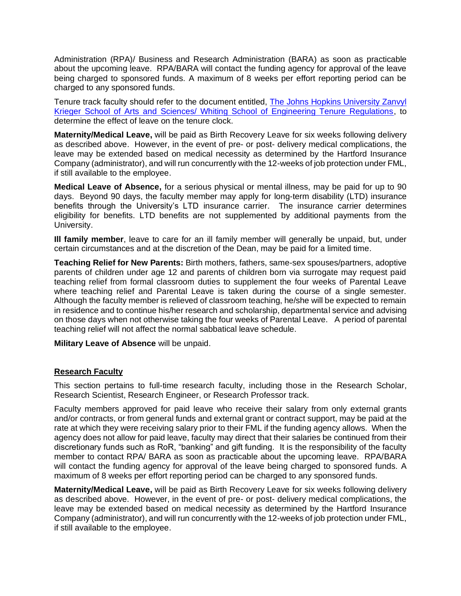Administration (RPA)/ Business and Research Administration (BARA) as soon as practicable about the upcoming leave. RPA/BARA will contact the funding agency for approval of the leave being charged to sponsored funds. A maximum of 8 weeks per effort reporting period can be charged to any sponsored funds.

Tenure track faculty should refer to the document entitled, The Johns Hopkins University Zanvyl [Krieger School of Arts and Sciences/ Whiting School of Engineering Tenure Regulations,](http://sites.jhu.edu/council/tenure) to determine the effect of leave on the tenure clock.

**Maternity/Medical Leave,** will be paid as Birth Recovery Leave for six weeks following delivery as described above. However, in the event of pre- or post- delivery medical complications, the leave may be extended based on medical necessity as determined by the Hartford Insurance Company (administrator), and will run concurrently with the 12-weeks of job protection under FML, if still available to the employee.

**Medical Leave of Absence,** for a serious physical or mental illness, may be paid for up to 90 days. Beyond 90 days, the faculty member may apply for long-term disability (LTD) insurance benefits through the University's LTD insurance carrier. The insurance carrier determines eligibility for benefits. LTD benefits are not supplemented by additional payments from the University.

**Ill family member**, leave to care for an ill family member will generally be unpaid, but, under certain circumstances and at the discretion of the Dean, may be paid for a limited time.

**Teaching Relief for New Parents:** Birth mothers, fathers, same-sex spouses/partners, adoptive parents of children under age 12 and parents of children born via surrogate may request paid teaching relief from formal classroom duties to supplement the four weeks of Parental Leave where teaching relief and Parental Leave is taken during the course of a single semester. Although the faculty member is relieved of classroom teaching, he/she will be expected to remain in residence and to continue his/her research and scholarship, departmental service and advising on those days when not otherwise taking the four weeks of Parental Leave. A period of parental teaching relief will not affect the normal sabbatical leave schedule.

**Military Leave of Absence** will be unpaid.

#### **Research Faculty**

This section pertains to full-time research faculty, including those in the Research Scholar, Research Scientist, Research Engineer, or Research Professor track.

Faculty members approved for paid leave who receive their salary from only external grants and/or contracts, or from general funds and external grant or contract support, may be paid at the rate at which they were receiving salary prior to their FML if the funding agency allows. When the agency does not allow for paid leave, faculty may direct that their salaries be continued from their discretionary funds such as RoR, "banking" and gift funding. It is the responsibility of the faculty member to contact RPA/ BARA as soon as practicable about the upcoming leave. RPA/BARA will contact the funding agency for approval of the leave being charged to sponsored funds. A maximum of 8 weeks per effort reporting period can be charged to any sponsored funds.

**Maternity/Medical Leave,** will be paid as Birth Recovery Leave for six weeks following delivery as described above. However, in the event of pre- or post- delivery medical complications, the leave may be extended based on medical necessity as determined by the Hartford Insurance Company (administrator), and will run concurrently with the 12-weeks of job protection under FML, if still available to the employee.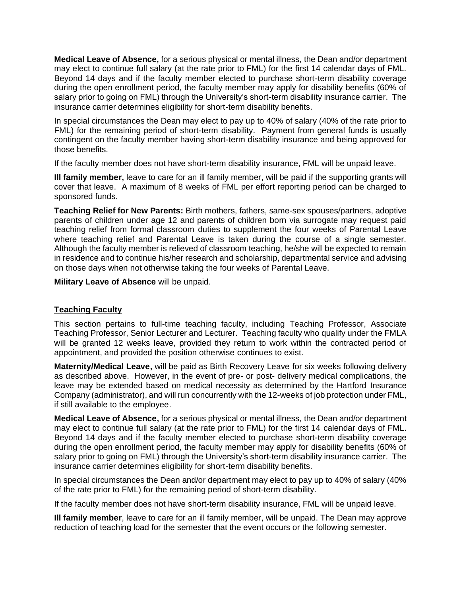**Medical Leave of Absence,** for a serious physical or mental illness, the Dean and/or department may elect to continue full salary (at the rate prior to FML) for the first 14 calendar days of FML. Beyond 14 days and if the faculty member elected to purchase short-term disability coverage during the open enrollment period, the faculty member may apply for disability benefits (60% of salary prior to going on FML) through the University's short-term disability insurance carrier. The insurance carrier determines eligibility for short-term disability benefits.

In special circumstances the Dean may elect to pay up to 40% of salary (40% of the rate prior to FML) for the remaining period of short-term disability. Payment from general funds is usually contingent on the faculty member having short-term disability insurance and being approved for those benefits.

If the faculty member does not have short-term disability insurance, FML will be unpaid leave.

**Ill family member,** leave to care for an ill family member, will be paid if the supporting grants will cover that leave. A maximum of 8 weeks of FML per effort reporting period can be charged to sponsored funds.

**Teaching Relief for New Parents:** Birth mothers, fathers, same-sex spouses/partners, adoptive parents of children under age 12 and parents of children born via surrogate may request paid teaching relief from formal classroom duties to supplement the four weeks of Parental Leave where teaching relief and Parental Leave is taken during the course of a single semester. Although the faculty member is relieved of classroom teaching, he/she will be expected to remain in residence and to continue his/her research and scholarship, departmental service and advising on those days when not otherwise taking the four weeks of Parental Leave.

**Military Leave of Absence** will be unpaid.

#### **Teaching Faculty**

This section pertains to full-time teaching faculty, including Teaching Professor, Associate Teaching Professor, Senior Lecturer and Lecturer. Teaching faculty who qualify under the FMLA will be granted 12 weeks leave, provided they return to work within the contracted period of appointment, and provided the position otherwise continues to exist.

**Maternity/Medical Leave,** will be paid as Birth Recovery Leave for six weeks following delivery as described above. However, in the event of pre- or post- delivery medical complications, the leave may be extended based on medical necessity as determined by the Hartford Insurance Company (administrator), and will run concurrently with the 12-weeks of job protection under FML, if still available to the employee.

**Medical Leave of Absence,** for a serious physical or mental illness, the Dean and/or department may elect to continue full salary (at the rate prior to FML) for the first 14 calendar days of FML. Beyond 14 days and if the faculty member elected to purchase short-term disability coverage during the open enrollment period, the faculty member may apply for disability benefits (60% of salary prior to going on FML) through the University's short-term disability insurance carrier. The insurance carrier determines eligibility for short-term disability benefits.

In special circumstances the Dean and/or department may elect to pay up to 40% of salary (40% of the rate prior to FML) for the remaining period of short-term disability.

If the faculty member does not have short-term disability insurance, FML will be unpaid leave.

**Ill family member**, leave to care for an ill family member, will be unpaid. The Dean may approve reduction of teaching load for the semester that the event occurs or the following semester.